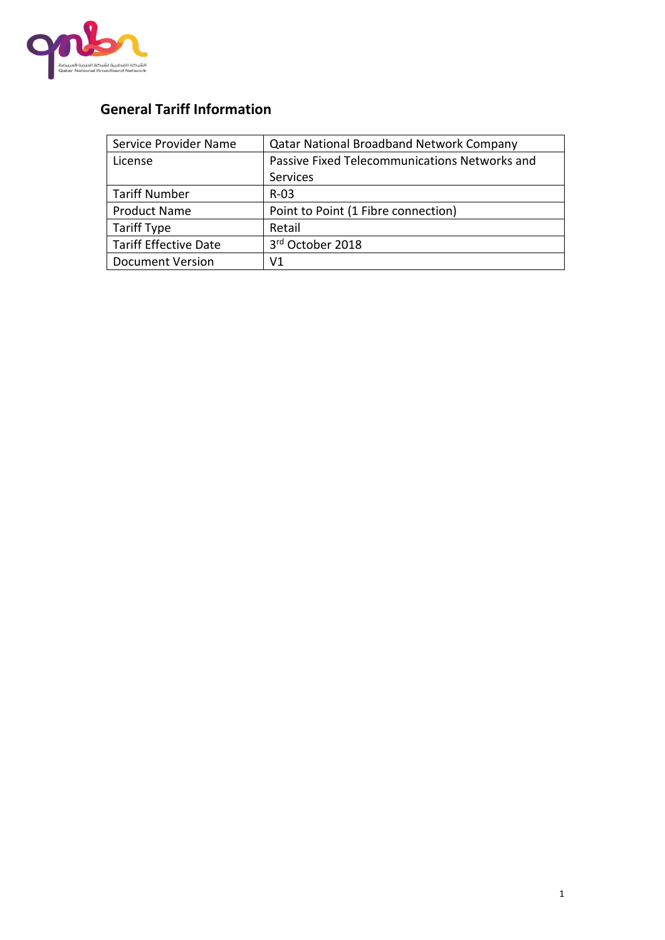

# **General Tariff Information**

| Service Provider Name        | <b>Qatar National Broadband Network Company</b> |  |
|------------------------------|-------------------------------------------------|--|
| License                      | Passive Fixed Telecommunications Networks and   |  |
|                              | Services                                        |  |
| <b>Tariff Number</b>         | $R-03$                                          |  |
| <b>Product Name</b>          | Point to Point (1 Fibre connection)             |  |
| <b>Tariff Type</b>           | Retail                                          |  |
| <b>Tariff Effective Date</b> | 3rd October 2018                                |  |
| <b>Document Version</b>      | V1                                              |  |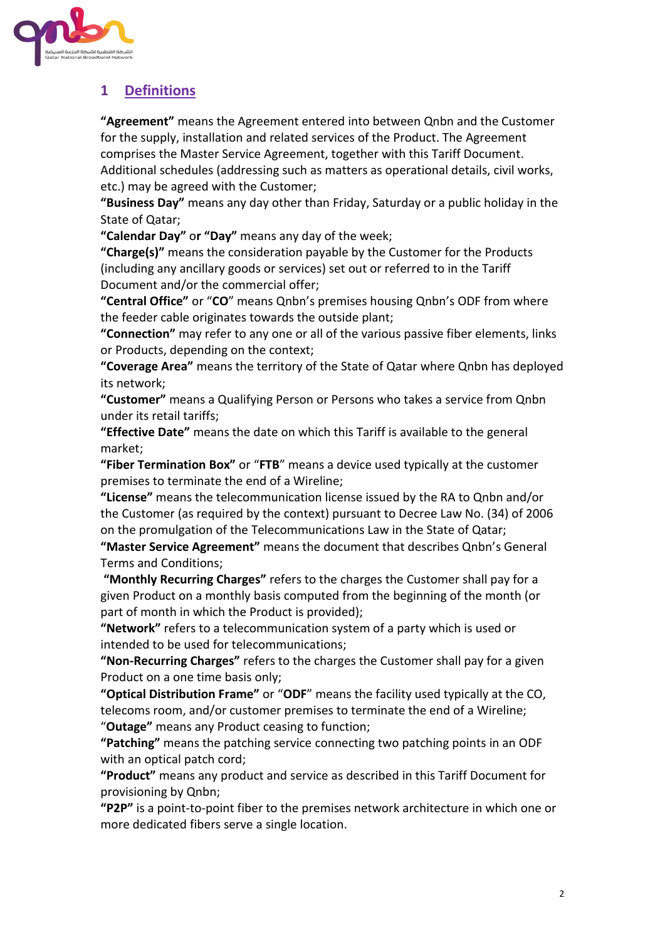

## **1 Definitions**

**"Agreement"** means the Agreement entered into between Qnbn and the Customer for the supply, installation and related services of the Product. The Agreement comprises the Master Service Agreement, together with this Tariff Document. Additional schedules (addressing such as matters as operational details, civil works, etc.) may be agreed with the Customer;

**"Business Day"** means any day other than Friday, Saturday or a public holiday in the State of Qatar;

**"Calendar Day"** o**r "Day"** means any day of the week;

**"Charge(s)"** means the consideration payable by the Customer for the Products (including any ancillary goods or services) set out or referred to in the Tariff Document and/or the commercial offer;

**"Central Office"** or "**CO**" means Qnbn's premises housing Qnbn's ODF from where the feeder cable originates towards the outside plant;

**"Connection"** may refer to any one or all of the various passive fiber elements, links or Products, depending on the context;

**"Coverage Area"** means the territory of the State of Qatar where Qnbn has deployed its network;

**"Customer"** means a Qualifying Person or Persons who takes a service from Qnbn under its retail tariffs;

**"Effective Date"** means the date on which this Tariff is available to the general market;

**"Fiber Termination Box"** or "**FTB**" means a device used typically at the customer premises to terminate the end of a Wireline;

**"License"** means the telecommunication license issued by the RA to Qnbn and/or the Customer (as required by the context) pursuant to Decree Law No. (34) of 2006 on the promulgation of the Telecommunications Law in the State of Qatar;

**"Master Service Agreement"** means the document that describes Qnbn's General Terms and Conditions;

**"Monthly Recurring Charges"** refers to the charges the Customer shall pay for a given Product on a monthly basis computed from the beginning of the month (or part of month in which the Product is provided);

**"Network"** refers to a telecommunication system of a party which is used or intended to be used for telecommunications;

**"Non-Recurring Charges"** refers to the charges the Customer shall pay for a given Product on a one time basis only;

**"Optical Distribution Frame"** or "**ODF**" means the facility used typically at the CO, telecoms room, and/or customer premises to terminate the end of a Wireline; "**Outage"** means any Product ceasing to function;

**"Patching"** means the patching service connecting two patching points in an ODF with an optical patch cord;

**"Product"** means any product and service as described in this Tariff Document for provisioning by Qnbn;

**"P2P"** is a point-to-point fiber to the premises network architecture in which one or more dedicated fibers serve a single location.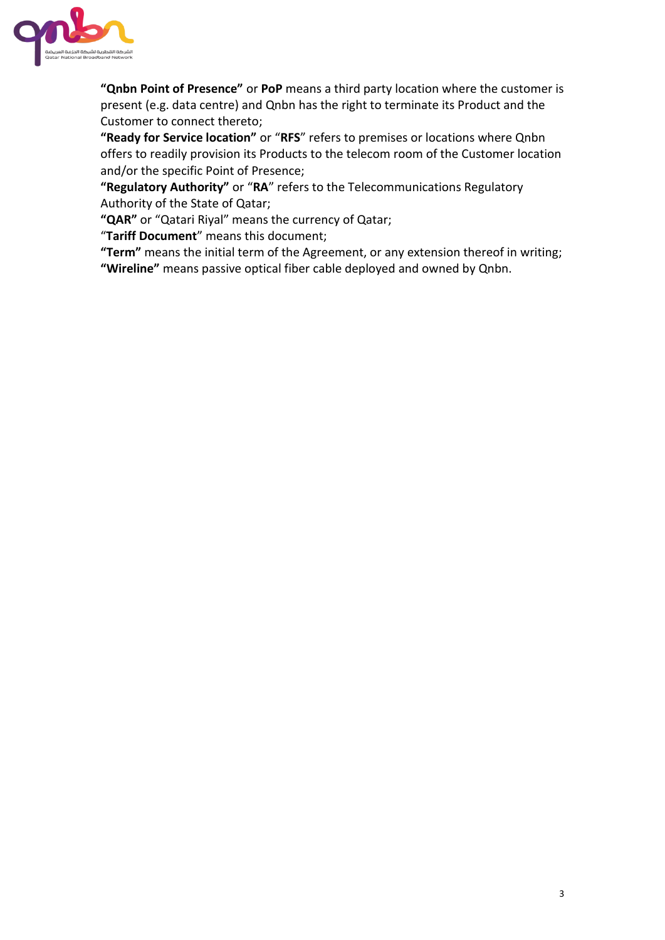

**"Qnbn Point of Presence"** or **PoP** means a third party location where the customer is present (e.g. data centre) and Qnbn has the right to terminate its Product and the Customer to connect thereto;

**"Ready for Service location"** or "**RFS**" refers to premises or locations where Qnbn offers to readily provision its Products to the telecom room of the Customer location and/or the specific Point of Presence;

**"Regulatory Authority"** or "**RA**" refers to the Telecommunications Regulatory Authority of the State of Qatar;

**"QAR"** or "Qatari Riyal" means the currency of Qatar;

"**Tariff Document**" means this document;

**"Term"** means the initial term of the Agreement, or any extension thereof in writing; **"Wireline"** means passive optical fiber cable deployed and owned by Qnbn.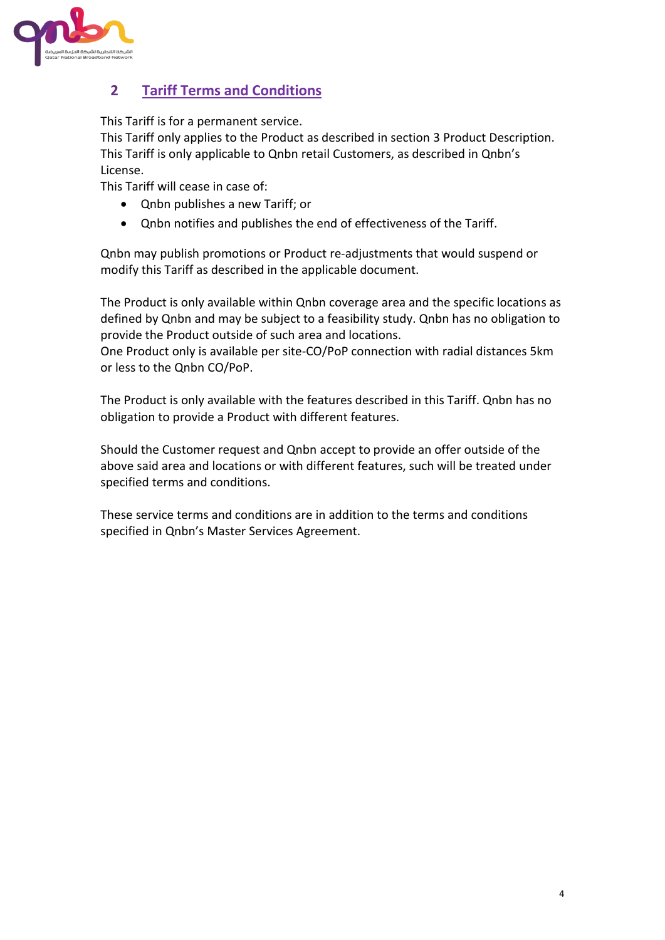

### **2 Tariff Terms and Conditions**

This Tariff is for a permanent service.

This Tariff only applies to the Product as described in section [3](#page-4-0) [Product Description.](#page-4-0) This Tariff is only applicable to Qnbn retail Customers, as described in Qnbn's License.

This Tariff will cease in case of:

- Qnbn publishes a new Tariff; or
- Qnbn notifies and publishes the end of effectiveness of the Tariff.

Qnbn may publish promotions or Product re-adjustments that would suspend or modify this Tariff as described in the applicable document.

The Product is only available within Qnbn coverage area and the specific locations as defined by Qnbn and may be subject to a feasibility study. Qnbn has no obligation to provide the Product outside of such area and locations.

One Product only is available per site-CO/PoP connection with radial distances 5km or less to the Qnbn CO/PoP.

The Product is only available with the features described in this Tariff. Qnbn has no obligation to provide a Product with different features.

Should the Customer request and Qnbn accept to provide an offer outside of the above said area and locations or with different features, such will be treated under specified terms and conditions.

These service terms and conditions are in addition to the terms and conditions specified in Qnbn's Master Services Agreement.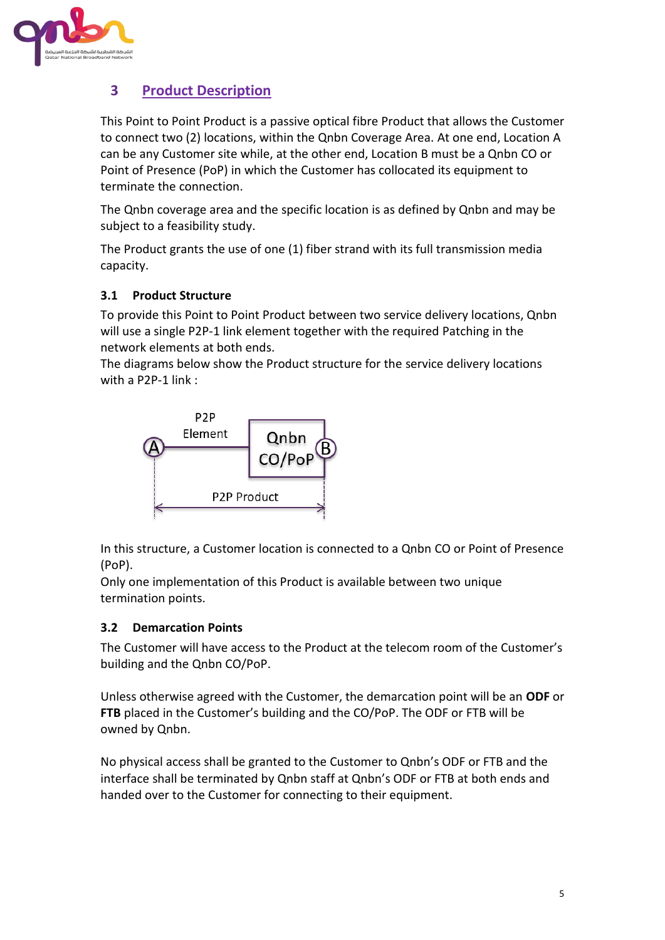

### <span id="page-4-0"></span>**3 Product Description**

This Point to Point Product is a passive optical fibre Product that allows the Customer to connect two (2) locations, within the Qnbn Coverage Area. At one end, Location A can be any Customer site while, at the other end, Location B must be a Qnbn CO or Point of Presence (PoP) in which the Customer has collocated its equipment to terminate the connection.

The Qnbn coverage area and the specific location is as defined by Qnbn and may be subject to a feasibility study.

The Product grants the use of one (1) fiber strand with its full transmission media capacity.

### **3.1 Product Structure**

To provide this Point to Point Product between two service delivery locations, Qnbn will use a single P2P-1 link element together with the required Patching in the network elements at both ends.

The diagrams below show the Product structure for the service delivery locations with a P2P-1 link :



In this structure, a Customer location is connected to a Qnbn CO or Point of Presence (PoP).

Only one implementation of this Product is available between two unique termination points.

### **3.2 Demarcation Points**

The Customer will have access to the Product at the telecom room of the Customer's building and the Qnbn CO/PoP.

Unless otherwise agreed with the Customer, the demarcation point will be an **ODF** or **FTB** placed in the Customer's building and the CO/PoP. The ODF or FTB will be owned by Qnbn.

No physical access shall be granted to the Customer to Qnbn's ODF or FTB and the interface shall be terminated by Qnbn staff at Qnbn's ODF or FTB at both ends and handed over to the Customer for connecting to their equipment.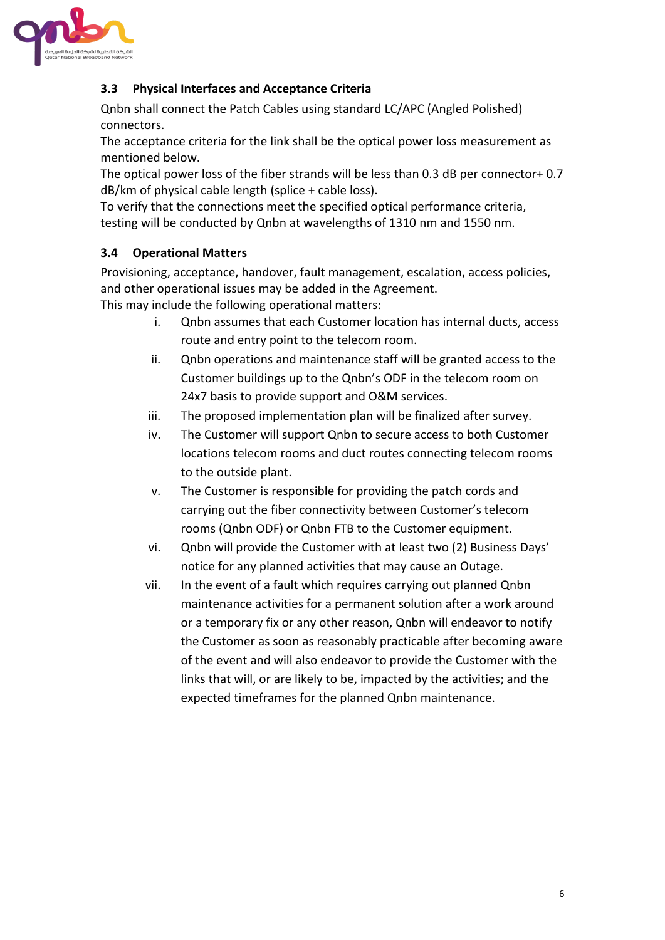

### **3.3 Physical Interfaces and Acceptance Criteria**

Qnbn shall connect the Patch Cables using standard LC/APC (Angled Polished) connectors.

The acceptance criteria for the link shall be the optical power loss measurement as mentioned below.

The optical power loss of the fiber strands will be less than 0.3 dB per connector+ 0.7 dB/km of physical cable length (splice + cable loss).

To verify that the connections meet the specified optical performance criteria, testing will be conducted by Qnbn at wavelengths of 1310 nm and 1550 nm.

### **3.4 Operational Matters**

Provisioning, acceptance, handover, fault management, escalation, access policies, and other operational issues may be added in the Agreement. This may include the following operational matters:

- i. Qnbn assumes that each Customer location has internal ducts, access route and entry point to the telecom room.
- ii. Qnbn operations and maintenance staff will be granted access to the Customer buildings up to the Qnbn's ODF in the telecom room on 24x7 basis to provide support and O&M services.
- iii. The proposed implementation plan will be finalized after survey.
- iv. The Customer will support Qnbn to secure access to both Customer locations telecom rooms and duct routes connecting telecom rooms to the outside plant.
- v. The Customer is responsible for providing the patch cords and carrying out the fiber connectivity between Customer's telecom rooms (Qnbn ODF) or Qnbn FTB to the Customer equipment.
- vi. Qnbn will provide the Customer with at least two (2) Business Days' notice for any planned activities that may cause an Outage.
- vii. In the event of a fault which requires carrying out planned Qnbn maintenance activities for a permanent solution after a work around or a temporary fix or any other reason, Qnbn will endeavor to notify the Customer as soon as reasonably practicable after becoming aware of the event and will also endeavor to provide the Customer with the links that will, or are likely to be, impacted by the activities; and the expected timeframes for the planned Qnbn maintenance.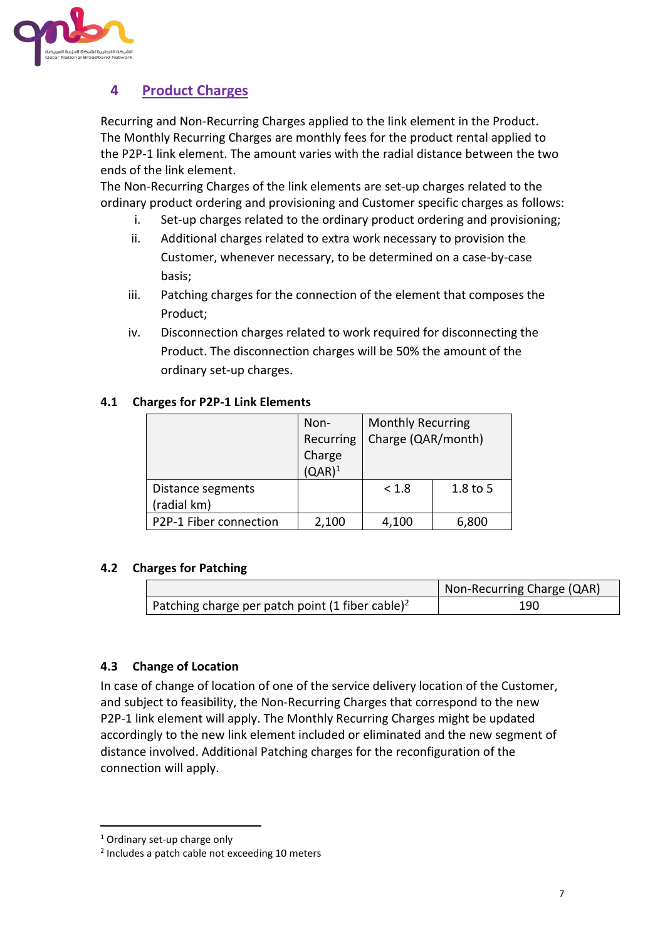

### **4 Product Charges**

Recurring and Non-Recurring Charges applied to the link element in the Product. The Monthly Recurring Charges are monthly fees for the product rental applied to the P2P-1 link element. The amount varies with the radial distance between the two ends of the link element.

The Non-Recurring Charges of the link elements are set-up charges related to the ordinary product ordering and provisioning and Customer specific charges as follows:

- i. Set-up charges related to the ordinary product ordering and provisioning;
- ii. Additional charges related to extra work necessary to provision the Customer, whenever necessary, to be determined on a case-by-case basis;
- iii. Patching charges for the connection of the element that composes the Product;
- iv. Disconnection charges related to work required for disconnecting the Product. The disconnection charges will be 50% the amount of the ordinary set-up charges.

#### **4.1 Charges for P2P-1 Link Elements**

|                        | Non-      | <b>Monthly Recurring</b> |            |
|------------------------|-----------|--------------------------|------------|
|                        | Recurring | Charge (QAR/month)       |            |
|                        | Charge    |                          |            |
|                        | $(QAR)^1$ |                          |            |
| Distance segments      |           | < 1.8                    | $1.8$ to 5 |
| (radial km)            |           |                          |            |
| P2P-1 Fiber connection | 2,100     | 4,100                    | 6,800      |

### **4.2 Charges for Patching**

|                                                              | Non-Recurring Charge (QAR) |
|--------------------------------------------------------------|----------------------------|
| Patching charge per patch point (1 fiber cable) <sup>2</sup> | 190                        |

### **4.3 Change of Location**

In case of change of location of one of the service delivery location of the Customer, and subject to feasibility, the Non-Recurring Charges that correspond to the new P2P-1 link element will apply. The Monthly Recurring Charges might be updated accordingly to the new link element included or eliminated and the new segment of distance involved. Additional Patching charges for the reconfiguration of the connection will apply.

-

<sup>1</sup> Ordinary set-up charge only

<sup>&</sup>lt;sup>2</sup> Includes a patch cable not exceeding 10 meters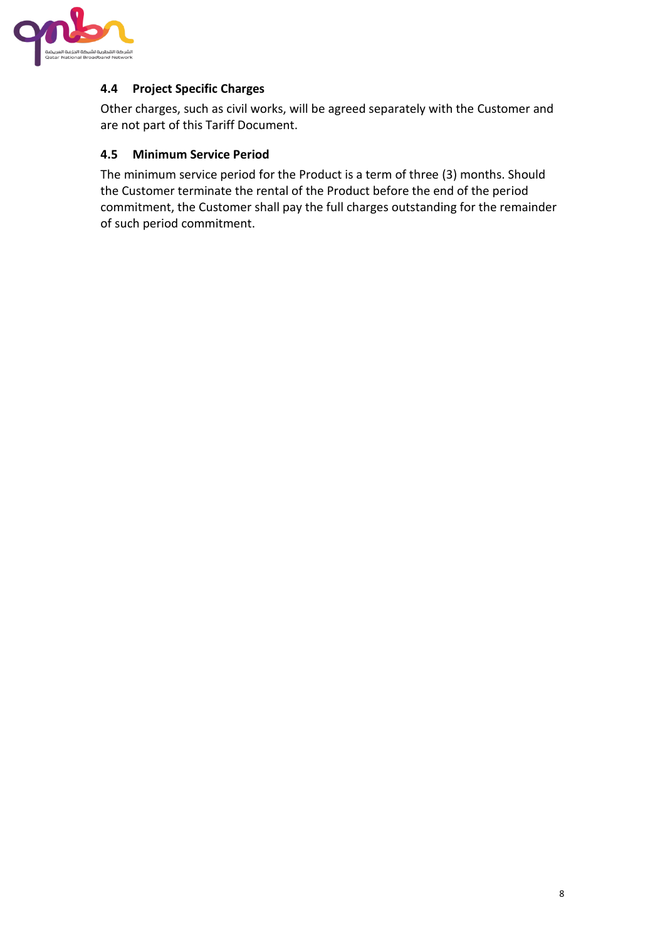

### **4.4 Project Specific Charges**

Other charges, such as civil works, will be agreed separately with the Customer and are not part of this Tariff Document.

#### **4.5 Minimum Service Period**

The minimum service period for the Product is a term of three (3) months. Should the Customer terminate the rental of the Product before the end of the period commitment, the Customer shall pay the full charges outstanding for the remainder of such period commitment.